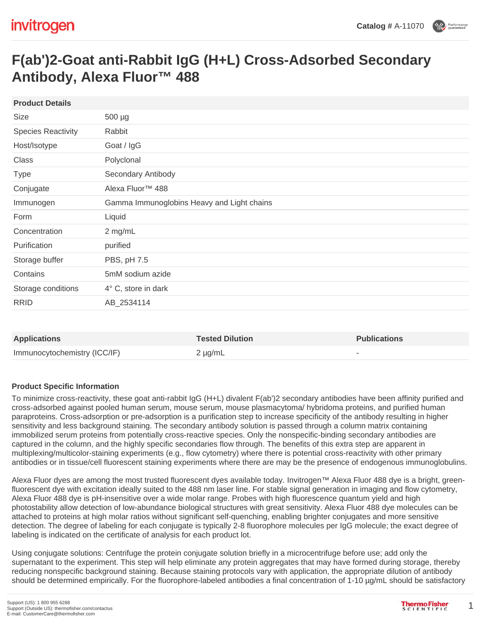# **F(ab')2-Goat anti-Rabbit IgG (H+L) Cross-Adsorbed Secondary Antibody, Alexa Fluor™ 488**

| <b>Product Details</b>    |                                            |
|---------------------------|--------------------------------------------|
| <b>Size</b>               | $500 \mu g$                                |
| <b>Species Reactivity</b> | Rabbit                                     |
| Host/Isotype              | Goat / IgG                                 |
| Class                     | Polyclonal                                 |
| <b>Type</b>               | Secondary Antibody                         |
| Conjugate                 | Alexa Fluor <sup>™</sup> 488               |
| Immunogen                 | Gamma Immunoglobins Heavy and Light chains |
| Form                      | Liquid                                     |
| Concentration             | 2 mg/mL                                    |
| Purification              | purified                                   |
| Storage buffer            | PBS, pH 7.5                                |
| Contains                  | 5mM sodium azide                           |
| Storage conditions        | $4^{\circ}$ C, store in dark               |
| <b>RRID</b>               | AB_2534114                                 |

| <b>Applications</b>          | <b>Tested Dilution</b> | <b>Publications</b> |
|------------------------------|------------------------|---------------------|
| Immunocytochemistry (ICC/IF) | $2 \mu g/mL$           |                     |

#### **Product Specific Information**

To minimize cross-reactivity, these goat anti-rabbit IgG (H+L) divalent F(ab')2 secondary antibodies have been affinity purified and cross-adsorbed against pooled human serum, mouse serum, mouse plasmacytoma/ hybridoma proteins, and purified human paraproteins. Cross-adsorption or pre-adsorption is a purification step to increase specificity of the antibody resulting in higher sensitivity and less background staining. The secondary antibody solution is passed through a column matrix containing immobilized serum proteins from potentially cross-reactive species. Only the nonspecific-binding secondary antibodies are captured in the column, and the highly specific secondaries flow through. The benefits of this extra step are apparent in multiplexing/multicolor-staining experiments (e.g., flow cytometry) where there is potential cross-reactivity with other primary antibodies or in tissue/cell fluorescent staining experiments where there are may be the presence of endogenous immunoglobulins.

Alexa Fluor dyes are among the most trusted fluorescent dyes available today. Invitrogen™ Alexa Fluor 488 dye is a bright, greenfluorescent dye with excitation ideally suited to the 488 nm laser line. For stable signal generation in imaging and flow cytometry, Alexa Fluor 488 dye is pH-insensitive over a wide molar range. Probes with high fluorescence quantum yield and high photostability allow detection of low-abundance biological structures with great sensitivity. Alexa Fluor 488 dye molecules can be attached to proteins at high molar ratios without significant self-quenching, enabling brighter conjugates and more sensitive detection. The degree of labeling for each conjugate is typically 2-8 fluorophore molecules per IgG molecule; the exact degree of labeling is indicated on the certificate of analysis for each product lot.

Using conjugate solutions: Centrifuge the protein conjugate solution briefly in a microcentrifuge before use; add only the supernatant to the experiment. This step will help eliminate any protein aggregates that may have formed during storage, thereby reducing nonspecific background staining. Because staining protocols vary with application, the appropriate dilution of antibody should be determined empirically. For the fluorophore-labeled antibodies a final concentration of 1-10 µg/mL should be satisfactory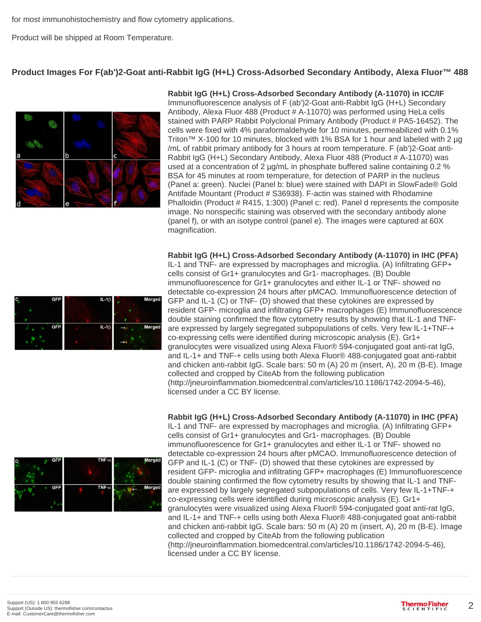for most immunohistochemistry and flow cytometry applications.

Product will be shipped at Room Temperature.

## **Product Images For F(ab')2-Goat anti-Rabbit IgG (H+L) Cross-Adsorbed Secondary Antibody, Alexa Fluor™ 488**



#### **Rabbit IgG (H+L) Cross-Adsorbed Secondary Antibody (A-11070) in ICC/IF**

Immunofluorescence analysis of F (ab')2-Goat anti-Rabbit IgG (H+L) Secondary Antibody, Alexa Fluor 488 (Product # A-11070) was performed using HeLa cells stained with PARP Rabbit Polyclonal Primary Antibody (Product # PA5-16452). The cells were fixed with 4% paraformaldehyde for 10 minutes, permeabilized with 0.1% Triton™ X-100 for 10 minutes, blocked with 1% BSA for 1 hour and labeled with 2 µg /mL of rabbit primary antibody for 3 hours at room temperature. F (ab')2-Goat anti-Rabbit IgG (H+L) Secondary Antibody, Alexa Fluor 488 (Product # A-11070) was used at a concentration of 2  $\mu q/mL$  in phosphate buffered saline containing 0.2 % BSA for 45 minutes at room temperature, for detection of PARP in the nucleus (Panel a: green). Nuclei (Panel b: blue) were stained with DAPI in SlowFade® Gold Antifade Mountant (Product # S36938). F-actin was stained with Rhodamine Phalloidin (Product # R415, 1:300) (Panel c: red). Panel d represents the composite image. No nonspecific staining was observed with the secondary antibody alone (panel f), or with an isotype control (panel e). The images were captured at 60X magnification.

**Rabbit IgG (H+L) Cross-Adsorbed Secondary Antibody (A-11070) in IHC (PFA)**



IL-1 and TNF- are expressed by macrophages and microglia. (A) Infiltrating GFP+ cells consist of Gr1+ granulocytes and Gr1- macrophages. (B) Double immunofluorescence for Gr1+ granulocytes and either IL-1 or TNF- showed no detectable co-expression 24 hours after pMCAO. Immunofluorescence detection of GFP and IL-1 (C) or TNF- (D) showed that these cytokines are expressed by resident GFP- microglia and infiltrating GFP+ macrophages (E) Immunofluorescence double staining confirmed the flow cytometry results by showing that IL-1 and TNFare expressed by largely segregated subpopulations of cells. Very few IL-1+TNF-+ co-expressing cells were identified during microscopic analysis (E). Gr1+ granulocytes were visualized using Alexa Fluor® 594-conjugated goat anti-rat IgG, and IL-1+ and TNF-+ cells using both Alexa Fluor® 488-conjugated goat anti-rabbit and chicken anti-rabbit IgG. Scale bars: 50 m (A) 20 m (insert, A), 20 m (B-E). Image collected and cropped by CiteAb from the following publication (http://jneuroinflammation.biomedcentral.com/articles/10.1186/1742-2094-5-46), licensed under a CC BY license.

#### **Rabbit IgG (H+L) Cross-Adsorbed Secondary Antibody (A-11070) in IHC (PFA)**



IL-1 and TNF- are expressed by macrophages and microglia. (A) Infiltrating GFP+ cells consist of Gr1+ granulocytes and Gr1- macrophages. (B) Double immunofluorescence for Gr1+ granulocytes and either IL-1 or TNF- showed no detectable co-expression 24 hours after pMCAO. Immunofluorescence detection of GFP and IL-1 (C) or TNF- (D) showed that these cytokines are expressed by resident GFP- microglia and infiltrating GFP+ macrophages (E) Immunofluorescence double staining confirmed the flow cytometry results by showing that IL-1 and TNFare expressed by largely segregated subpopulations of cells. Very few IL-1+TNF-+ co-expressing cells were identified during microscopic analysis (E). Gr1+ granulocytes were visualized using Alexa Fluor® 594-conjugated goat anti-rat IgG, and IL-1+ and TNF-+ cells using both Alexa Fluor® 488-conjugated goat anti-rabbit and chicken anti-rabbit IgG. Scale bars: 50 m (A) 20 m (insert, A), 20 m (B-E). Image collected and cropped by CiteAb from the following publication (http://jneuroinflammation.biomedcentral.com/articles/10.1186/1742-2094-5-46), licensed under a CC BY license.

2